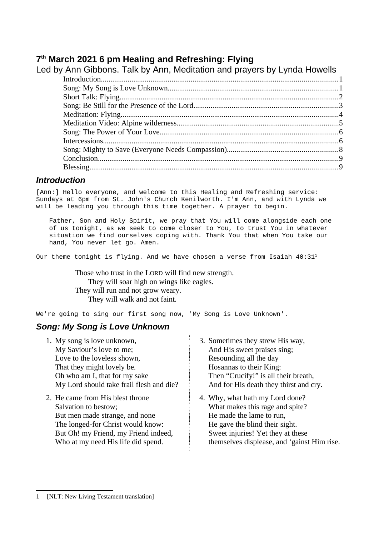# **7 th March 2021 6 pm Healing and Refreshing: Flying**

| Led by Ann Gibbons. Talk by Ann, Meditation and prayers by Lynda Howells |  |
|--------------------------------------------------------------------------|--|
|                                                                          |  |
|                                                                          |  |
|                                                                          |  |
|                                                                          |  |
|                                                                          |  |
|                                                                          |  |
|                                                                          |  |
|                                                                          |  |
|                                                                          |  |
|                                                                          |  |
|                                                                          |  |
|                                                                          |  |

## <span id="page-0-1"></span>*Introduction*

[Ann:] Hello everyone, and welcome to this Healing and Refreshing service: Sundays at 6pm from St. John's Church Kenilworth. I'm Ann, and with Lynda we will be leading you through this time together. A prayer to begin.

Father, Son and Holy Spirit, we pray that You will come alongside each one of us tonight, as we seek to come closer to You, to trust You in whatever situation we find ourselves coping with. Thank You that when You take our hand, You never let go. Amen.

Our theme tonight is flying. And we have chosen a verse from Isaiah  $40:31<sup>1</sup>$  $40:31<sup>1</sup>$  $40:31<sup>1</sup>$ 

Those who trust in the LORD will find new strength. They will soar high on wings like eagles. They will run and not grow weary. They will walk and not faint.

We're going to sing our first song now, 'My Song is Love Unknown'.

## <span id="page-0-0"></span>*Song: My Song is Love Unknown*

- 1. My song is love unknown, My Saviour's love to me; Love to the loveless shown, That they might lovely be. Oh who am I, that for my sake My Lord should take frail flesh and die?
- 2. He came from His blest throne Salvation to bestow; But men made strange, and none The longed-for Christ would know: But Oh! my Friend, my Friend indeed, Who at my need His life did spend.
- 3. Sometimes they strew His way, And His sweet praises sing; Resounding all the day Hosannas to their King: Then "Crucify!" is all their breath, And for His death they thirst and cry.
- 4. Why, what hath my Lord done? What makes this rage and spite? He made the lame to run, He gave the blind their sight. Sweet injuries! Yet they at these themselves displease, and 'gainst Him rise.

<span id="page-0-2"></span><sup>1</sup> [NLT: New Living Testament translation]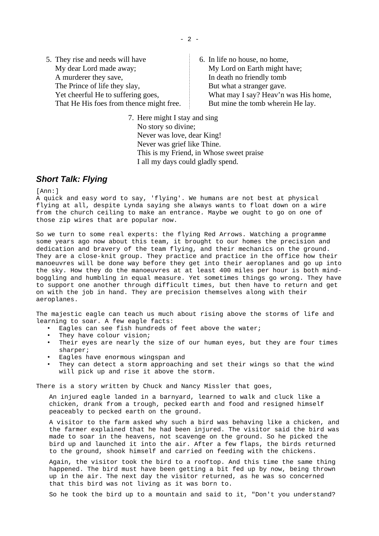5. They rise and needs will have My dear Lord made away; A murderer they save, The Prince of life they slay, Yet cheerful He to suffering goes, That He His foes from thence might free. 6. In life no house, no home, My Lord on Earth might have; In death no friendly tomb But what a stranger gave. What may I say? Heav'n was His home, But mine the tomb wherein He lay.

7. Here might I stay and sing No story so divine; Never was love, dear King! Never was grief like Thine. This is my Friend, in Whose sweet praise I all my days could gladly spend.

#### <span id="page-1-0"></span>*Short Talk: Flying*

[Ann:]

A quick and easy word to say, 'flying'. We humans are not best at physical flying at all, despite Lynda saying she always wants to float down on a wire from the church ceiling to make an entrance. Maybe we ought to go on one of those zip wires that are popular now.

So we turn to some real experts: the flying Red Arrows. Watching a programme some years ago now about this team, it brought to our homes the precision and dedication and bravery of the team flying, and their mechanics on the ground. They are a close-knit group. They practice and practice in the office how their manoeuvres will be done way before they get into their aeroplanes and go up into the sky. How they do the manoeuvres at at least 400 miles per hour is both mindboggling and humbling in equal measure. Yet sometimes things go wrong. They have to support one another through difficult times, but then have to return and get on with the job in hand. They are precision themselves along with their aeroplanes.

The majestic eagle can teach us much about rising above the storms of life and learning to soar. A few eagle facts:

- Eagles can see fish hundreds of feet above the water;
- They have colour vision;
- Their eyes are nearly the size of our human eyes, but they are four times sharper;
- Eagles have enormous wingspan and
- They can detect a storm approaching and set their wings so that the wind will pick up and rise it above the storm.

There is a story written by Chuck and Nancy Missler that goes,

An injured eagle landed in a barnyard, learned to walk and cluck like a chicken, drank from a trough, pecked earth and food and resigned himself peaceably to pecked earth on the ground.

A visitor to the farm asked why such a bird was behaving like a chicken, and the farmer explained that he had been injured. The visitor said the bird was made to soar in the heavens, not scavenge on the ground. So he picked the bird up and launched it into the air. After a few flaps, the birds returned to the ground, shook himself and carried on feeding with the chickens.

Again, the visitor took the bird to a rooftop. And this time the same thing happened. The bird must have been getting a bit fed up by now, being thrown up in the air. The next day the visitor returned, as he was so concerned that this bird was not living as it was born to.

So he took the bird up to a mountain and said to it, "Don't you understand?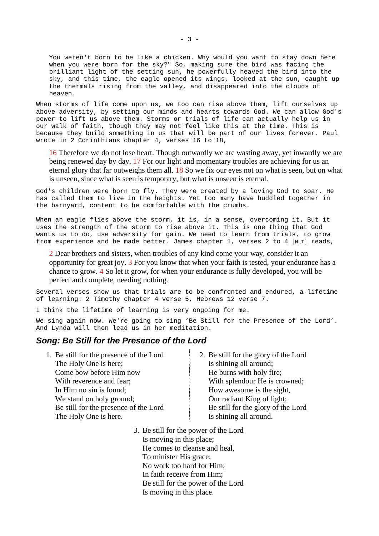You weren't born to be like a chicken. Why would you want to stay down here when you were born for the sky?" So, making sure the bird was facing the brilliant light of the setting sun, he powerfully heaved the bird into the sky, and this time, the eagle opened its wings, looked at the sun, caught up the thermals rising from the valley, and disappeared into the clouds of heaven.

When storms of life come upon us, we too can rise above them, lift ourselves up above adversity, by setting our minds and hearts towards God. We can allow God's power to lift us above them. Storms or trials of life can actually help us in our walk of faith, though they may not feel like this at the time. This is because they build something in us that will be part of our lives forever. Paul wrote in 2 Corinthians chapter 4, verses 16 to 18,

16 Therefore we do not lose heart. Though outwardly we are wasting away, yet inwardly we are being renewed day by day. 17 For our light and momentary troubles are achieving for us an eternal glory that far outweighs them all. 18 So we fix our eyes not on what is seen, but on what is unseen, since what is seen is temporary, but what is unseen is eternal.

God's children were born to fly. They were created by a loving God to soar. He has called them to live in the heights. Yet too many have huddled together in the barnyard, content to be comfortable with the crumbs.

When an eagle flies above the storm, it is, in a sense, overcoming it. But it uses the strength of the storm to rise above it. This is one thing that God wants us to do, use adversity for gain. We need to learn from trials, to grow from experience and be made better. James chapter 1, verses 2 to 4 [NLT] reads,

2 Dear brothers and sisters, when troubles of any kind come your way, consider it an opportunity for great joy. 3 For you know that when your faith is tested, your endurance has a chance to grow. 4 So let it grow, for when your endurance is fully developed, you will be perfect and complete, needing nothing.

Several verses show us that trials are to be confronted and endured, a lifetime of learning: 2 Timothy chapter 4 verse 5, Hebrews 12 verse 7.

I think the lifetime of learning is very ongoing for me.

We sing again now. We're going to sing 'Be Still for the Presence of the Lord'. And Lynda will then lead us in her meditation.

#### <span id="page-2-0"></span>*Song: Be Still for the Presence of the Lord*

| 1. Be still for the presence of the Lord | 2. Be still for the glory of the Lord |
|------------------------------------------|---------------------------------------|
| The Holy One is here;                    | Is shining all around;                |
| Come bow before Him now                  | He burns with holy fire;              |
| With reverence and fear;                 | With splendour He is crowned;         |
| In Him no sin is found;                  | How awesome is the sight,             |
| We stand on holy ground;                 | Our radiant King of light;            |
| Be still for the presence of the Lord    | Be still for the glory of the Lord    |
| The Holy One is here.                    | Is shining all around.                |

3. Be still for the power of the Lord Is moving in this place; He comes to cleanse and heal, To minister His grace; No work too hard for Him; In faith receive from Him; Be still for the power of the Lord Is moving in this place.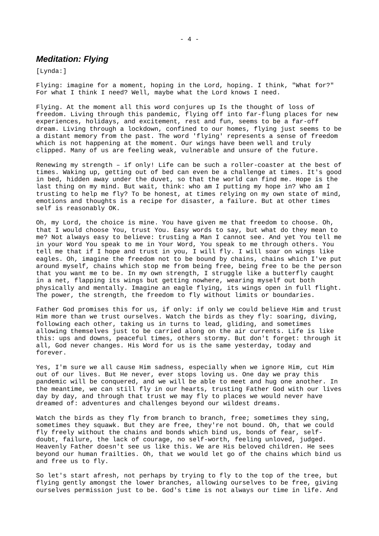#### <span id="page-3-0"></span>*Meditation: Flying*

[Lynda:]

Flying: imagine for a moment, hoping in the Lord, hoping. I think, "What for?" For what I think I need? Well, maybe what the Lord knows I need.

Flying. At the moment all this word conjures up Is the thought of loss of freedom. Living through this pandemic, flying off into far-flung places for new experiences, holidays, and excitement, rest and fun, seems to be a far-off dream. Living through a lockdown, confined to our homes, flying just seems to be a distant memory from the past. The word 'flying' represents a sense of freedom which is not happening at the moment. Our wings have been well and truly clipped. Many of us are feeling weak, vulnerable and unsure of the future.

Renewing my strength – if only! Life can be such a roller-coaster at the best of times. Waking up, getting out of bed can even be a challenge at times. It's good in bed, hidden away under the duvet, so that the world can find me. Hope is the last thing on my mind. But wait, think: who am I putting my hope in? Who am I trusting to help me fly? To be honest, at times relying on my own state of mind, emotions and thoughts is a recipe for disaster, a failure. But at other times self is reasonably OK.

Oh, my Lord, the choice is mine. You have given me that freedom to choose. Oh, that I would choose You, trust You. Easy words to say, but what do they mean to me? Not always easy to believe: trusting a Man I cannot see. And yet You tell me in your Word You speak to me in Your Word, You speak to me through others. You tell me that if I hope and trust in you, I will fly. I will soar on wings like eagles. Oh, imagine the freedom not to be bound by chains, chains which I've put around myself, chains which stop me from being free, being free to be the person that you want me to be. In my own strength, I struggle like a butterfly caught in a net, flapping its wings but getting nowhere, wearing myself out both physically and mentally. Imagine an eagle flying, its wings open in full flight. The power, the strength, the freedom to fly without limits or boundaries.

Father God promises this for us, if only: if only we could believe Him and trust Him more than we trust ourselves. Watch the birds as they fly: soaring, diving, following each other, taking us in turns to lead, gliding, and sometimes allowing themselves just to be carried along on the air currents. Life is like this: ups and downs, peaceful times, others stormy. But don't forget: through it all, God never changes. His Word for us is the same yesterday, today and forever.

Yes, I'm sure we all cause Him sadness, especially when we ignore Him, cut Him out of our lives. But He never, ever stops loving us. One day we pray this pandemic will be conquered, and we will be able to meet and hug one another. In the meantime, we can still fly in our hearts, trusting Father God with our lives day by day, and through that trust we may fly to places we would never have dreamed of: adventures and challenges beyond our wildest dreams.

Watch the birds as they fly from branch to branch, free; sometimes they sing, sometimes they squawk. But they are free, they're not bound. Oh, that we could fly freely without the chains and bonds which bind us, bonds of fear, selfdoubt, failure, the lack of courage, no self-worth, feeling unloved, judged. Heavenly Father doesn't see us like this. We are His beloved children. He sees beyond our human frailties. Oh, that we would let go of the chains which bind us and free us to fly.

So let's start afresh, not perhaps by trying to fly to the top of the tree, but flying gently amongst the lower branches, allowing ourselves to be free, giving ourselves permission just to be. God's time is not always our time in life. And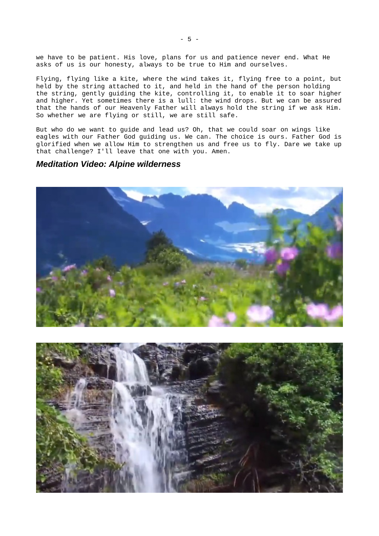we have to be patient. His love, plans for us and patience never end. What He asks of us is our honesty, always to be true to Him and ourselves.

Flying, flying like a kite, where the wind takes it, flying free to a point, but held by the string attached to it, and held in the hand of the person holding the string, gently guiding the kite, controlling it, to enable it to soar higher and higher. Yet sometimes there is a lull: the wind drops. But we can be assured that the hands of our Heavenly Father will always hold the string if we ask Him. So whether we are flying or still, we are still safe.

But who do we want to guide and lead us? Oh, that we could soar on wings like eagles with our Father God guiding us. We can. The choice is ours. Father God is glorified when we allow Him to strengthen us and free us to fly. Dare we take up that challenge? I'll leave that one with you. Amen.

#### <span id="page-4-0"></span>*Meditation Video: Alpine wilderness*



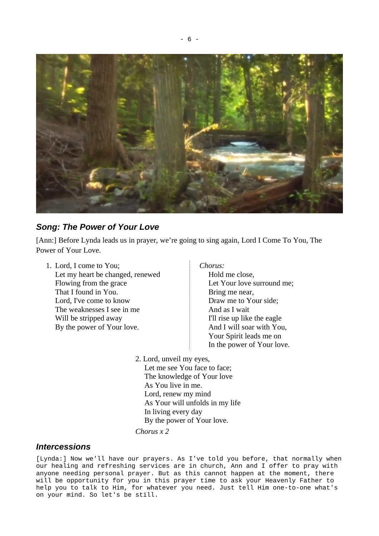

### <span id="page-5-1"></span>*Song: The Power of Your Love*

[Ann:] Before Lynda leads us in prayer, we're going to sing again, Lord I Come To You, The Power of Your Love.

1. Lord, I come to You; Let my heart be changed, renewed Flowing from the grace That I found in You. Lord, I've come to know The weaknesses I see in me Will be stripped away By the power of Your love.

*Chorus:*

Hold me close, Let Your love surround me; Bring me near, Draw me to Your side; And as I wait I'll rise up like the eagle And I will soar with You, Your Spirit leads me on In the power of Your love.

2. Lord, unveil my eyes,

Let me see You face to face; The knowledge of Your love As You live in me. Lord, renew my mind As Your will unfolds in my life In living every day By the power of Your love.

### <span id="page-5-0"></span>*Intercessions*

[Lynda:] Now we'll have our prayers. As I've told you before, that normally when our healing and refreshing services are in church, Ann and I offer to pray with anyone needing personal prayer. But as this cannot happen at the moment, there will be opportunity for you in this prayer time to ask your Heavenly Father to help you to talk to Him, for whatever you need. Just tell Him one-to-one what's on your mind. So let's be still.

*Chorus x 2*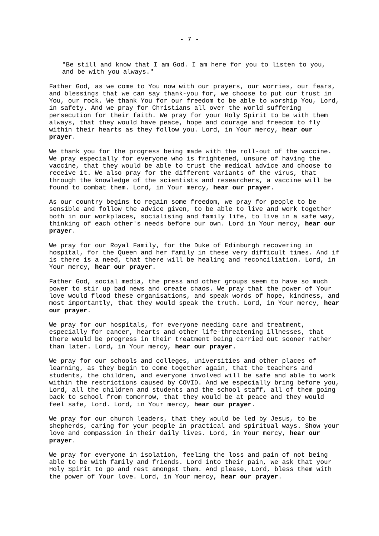"Be still and know that I am God. I am here for you to listen to you, and be with you always."

Father God, as we come to You now with our prayers, our worries, our fears, and blessings that we can say thank-you for, we choose to put our trust in You, our rock. We thank You for our freedom to be able to worship You, Lord, in safety. And we pray for Christians all over the world suffering persecution for their faith. We pray for your Holy Spirit to be with them always, that they would have peace, hope and courage and freedom to fly within their hearts as they follow you. Lord, in Your mercy, **hear our prayer**.

We thank you for the progress being made with the roll-out of the vaccine. We pray especially for everyone who is frightened, unsure of having the vaccine, that they would be able to trust the medical advice and choose to receive it. We also pray for the different variants of the virus, that through the knowledge of the scientists and researchers, a vaccine will be found to combat them. Lord, in Your mercy, **hear our prayer**.

As our country begins to regain some freedom, we pray for people to be sensible and follow the advice given, to be able to live and work together both in our workplaces, socialising and family life, to live in a safe way, thinking of each other's needs before our own. Lord in Your mercy, **hear our praye**r.

We pray for our Royal Family, for the Duke of Edinburgh recovering in hospital, for the Queen and her family in these very difficult times. And if is there is a need, that there will be healing and reconciliation. Lord, in Your mercy, **hear our prayer**.

Father God, social media, the press and other groups seem to have so much power to stir up bad news and create chaos. We pray that the power of Your love would flood these organisations, and speak words of hope, kindness, and most importantly, that they would speak the truth. Lord, in Your mercy, **hear our prayer**.

We pray for our hospitals, for everyone needing care and treatment, especially for cancer, hearts and other life-threatening illnesses, that there would be progress in their treatment being carried out sooner rather than later. Lord, in Your mercy, **hear our prayer**.

We pray for our schools and colleges, universities and other places of learning, as they begin to come together again, that the teachers and students, the children, and everyone involved will be safe and able to work within the restrictions caused by COVID. And we especially bring before you, Lord, all the children and students and the school staff, all of them going back to school from tomorrow, that they would be at peace and they would feel safe, Lord. Lord, in Your mercy, **hear our prayer**.

We pray for our church leaders, that they would be led by Jesus, to be shepherds, caring for your people in practical and spiritual ways. Show your love and compassion in their daily lives. Lord, in Your mercy, **hear our prayer**.

We pray for everyone in isolation, feeling the loss and pain of not being able to be with family and friends. Lord into their pain, we ask that your Holy Spirit to go and rest amongst them. And please, Lord, bless them with the power of Your love. Lord, in Your mercy, **hear our prayer**.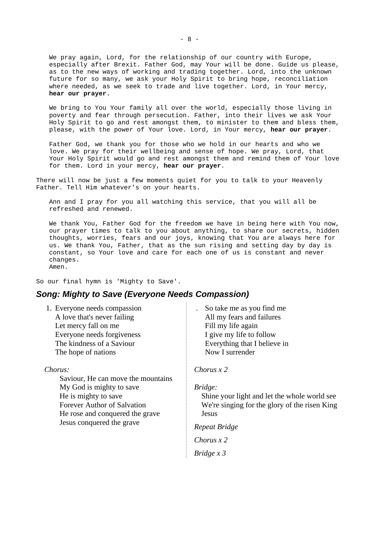We pray again, Lord, for the relationship of our country with Europe, especially after Brexit. Father God, may Your will be done. Guide us please, as to the new ways of working and trading together. Lord, into the unknown future for so many, we ask your Holy Spirit to bring hope, reconciliation where needed, as we seek to trade and live together. Lord, in Your mercy, **hear our prayer**.

We bring to You Your family all over the world, especially those living in poverty and fear through persecution. Father, into their lives we ask Your Holy Spirit to go and rest amongst them, to minister to them and bless them, please, with the power of Your love. Lord, in Your mercy, **hear our prayer**.

Father God, we thank you for those who we hold in our hearts and who we love. We pray for their wellbeing and sense of hope. We pray, Lord, that Your Holy Spirit would go and rest amongst them and remind them of Your love for them. Lord in your mercy, **hear our prayer**.

There will now be just a few moments quiet for you to talk to your Heavenly Father. Tell Him whatever's on your hearts.

Ann and I pray for you all watching this service, that you will all be refreshed and renewed.

We thank You, Father God for the freedom we have in being here with You now, our prayer times to talk to you about anything, to share our secrets, hidden thoughts, worries, fears and our joys, knowing that You are always here for us. We thank You, Father, that as the sun rising and setting day by day is constant, so Your love and care for each one of us is constant and never changes. Amen.

So our final hymn is 'Mighty to Save'.

#### <span id="page-7-0"></span>*Song: Mighty to Save (Everyone Needs Compassion)*

| 1. Everyone needs compassion       | So take me as you find me                     |
|------------------------------------|-----------------------------------------------|
| A love that's never failing        | All my fears and failures                     |
| Let mercy fall on me               | Fill my life again                            |
| Everyone needs forgiveness         | I give my life to follow                      |
| The kindness of a Saviour          | Everything that I believe in                  |
| The hope of nations                | Now I surrender                               |
| Chorus:                            | Chorus $x$ 2                                  |
| Saviour, He can move the mountains | Bridge:                                       |
| My God is mighty to save           | Shine your light and let the whole world see  |
| He is mighty to save               | We're singing for the glory of the risen King |
| <b>Forever Author of Salvation</b> | Jesus                                         |
| He rose and conquered the grave    | Repeat Bridge                                 |
| Jesus conquered the grave          | Chorus $x$ 2                                  |

*Bridge x 3*